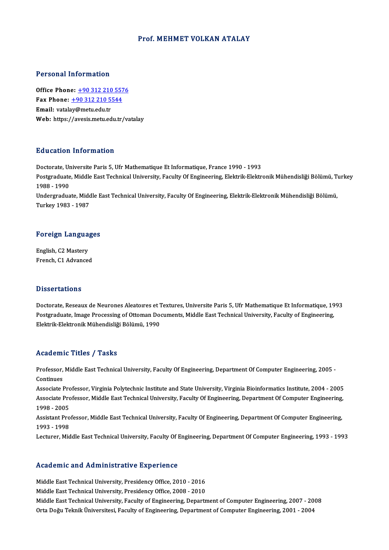### Prof.MEHMET VOLKAN ATALAY

### Personal Information

Office Phone: +90 312 210 5576 Fax Phone: <u>+90 312 210 557</u><br>Fax Phone: <u>+90 312 210 5544</u><br>Fmail: wtaley@mety.edu.tr Office Phone: <u>+90 312 210</u><br>Fax Phone: <u>+90 312 210 5.</u><br>Email: vatal[ay@metu.edu.tr](tel:+90 312 210 5544) Email: vatalay@metu.edu.tr<br>Web: https://avesis.metu.edu.tr/vatalay

### Education Information

Education Information<br>Doctorate, Universite Paris 5, Ufr Mathematique Et Informatique, France 1990 - 1993<br>Postsraduate Middle Fast Technical University, Faculty Of Engineering, Flektrik Flektr Pu u outror, Trivor Inderon<br>Doctorate, Universite Paris 5, Ufr Mathematique Et Informatique, France 1990 - 1993<br>Postgraduate, Middle East Technical University, Faculty Of Engineering, Elektrik-Elektronik Mühendisliği Bölüm Doctorate, Ur<br>Postgraduate<br>1988 - 1990<br>Undergradue Postgraduate, Middle East Technical University, Faculty Of Engineering, Elektrik-Elektronik Mühendisliği Bölümü, T<br>1988 - 1990<br>Undergraduate, Middle East Technical University, Faculty Of Engineering, Elektrik-Elektronik Mü 1988 - 1990<br>Undergraduate, Middle East Technical University, Faculty Of Engineering, Elektrik-Elektronik Mühendisliği Bölümü,<br>Turkey 1983 - 1987

# Turkey 1983 - 1987<br>Foreign Languages

Foreign Langua<br>English, C2 Mastery<br>Enangh C1 Advances English, C2 Mastery<br>French, C1 Advanced

### **Dissertations**

Doctorate, Reseaux de Neurones Aleatoires et Textures, Universite Paris 5, Ufr Mathematique Et Informatique, 1993 Phosel cations<br>Doctorate, Reseaux de Neurones Aleatoires et Textures, Universite Paris 5, Ufr Mathematique Et Informatique, 19<br>Ploktrik Flaktronik Mühandialiği Pölümü, 1990 Doctorate, Reseaux de Neurones Aleatoıres et 1<br>Postgraduate, Image Processing of Ottoman Do<br>Elektrik-Elektronik Mühendisliği Bölümü, 1990 Elektrik-Elektronik Mühendisliği Bölümü, 1990<br>Academic Titles / Tasks

Academic Titles / Tasks<br>Professor, Middle East Technical University, Faculty Of Engineering, Department Of Computer Engineering, 2005 -<br>Continues Professor,<br>Continues<br>Associate I Professor, Middle East Technical University, Faculty Of Engineering, Department Of Computer Engineering, 2005<br>Continues<br>Associate Professor, Virginia Polytechnic Institute and State University, Virginia Bioinformatics Inst

Continues<br>Associate Professor, Virginia Polytechnic Institute and State University, Virginia Bioinformatics Institute, 2004 - 2005<br>Associate Professor, Middle East Technical University, Faculty Of Engineering, Department O Associate Pro<br>Associate Pro<br>1998 - 2005<br>Assistant Pro Associate Professor, Middle East Technical University, Faculty Of Engineering, Department Of Computer Engineering,<br>1998 - 2005<br>Assistant Professor, Middle East Technical University, Faculty Of Engineering, Department Of Co

1998 - 2005<br>Assistant Pro<br>1993 - 1998<br>Lecturer Mid Assistant Professor, Middle East Technical University, Faculty Of Engineering, Department Of Computer Engineering,<br>1993 - 1998<br>Lecturer, Middle East Technical University, Faculty Of Engineering, Department Of Computer Engi

Lecturer, Middle East Technical University, Faculty Of Engineering, Department Of Computer Engineering, 1993 - 1993<br>Academic and Administrative Experience

Academic and Administrative Experience<br>Middle East Technical University, Presidency Office, 2010 - 2016<br>Middle Feet Technical University, Presidency Office, 2008 - 2010 Middle East Technical University, Presidency Office, 2010 - 2016<br>Middle East Technical University, Presidency Office, 2008 - 2010<br>Middle East Technical University, Presidency Office, 2008 - 2010 Middle East Technical University, Presidency Office, 2008 - 2010<br>Middle East Technical University, Faculty of Engineering, Department of Computer Engineering, 2007 - 2008 Orta Doğu Teknik Üniversitesi, Faculty of Engineering, Department of Computer Engineering, 2001 - 2004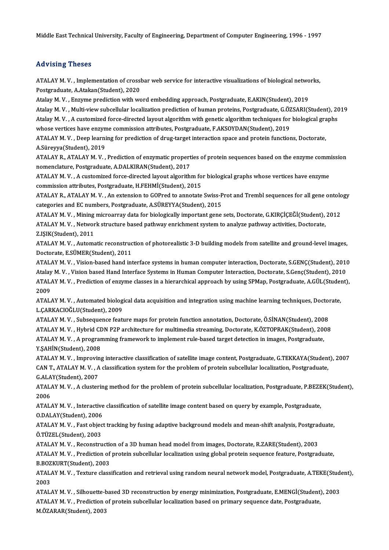Middle East Technical University, Faculty of Engineering, Department of Computer Engineering, 1996 - 1997

### Advising Theses

ATALAY M. V., Implementation of crossbar web service for interactive visualizations of biological networks, Postgraduate,A.Atakan(Student),2020

Atalay M. V., Enzyme prediction with word embedding approach, Postgraduate, E.AKIN(Student), 2019 Postgraduate, A.Atakan(Student), 2020<br>Atalay M. V. , Enzyme prediction with word embedding approach, Postgraduate, E.AKIN(Student), 2019<br>Atalay M. V. , Multi-view subcellular localization prediction of human proteins, Post Atalay M. V. , Enzyme prediction with word embedding approach, Postgraduate, E.AKIN(Student), 2019<br>Atalay M. V. , Multi-view subcellular localization prediction of human proteins, Postgraduate, G.ÖZSARI(Student), 20<br>Atalay Atalay M. V. , Multi-view subcellular localization prediction of human proteins, Postgraduate, G.ÖZ<br>Atalay M. V. , A customized force-directed layout algorithm with genetic algorithm techniques for<br>whose vertices have enzy Atalay M. V. , A customized force-directed layout algorithm with genetic algorithm techniques for biological gra<br>whose vertices have enzyme commission attributes, Postgraduate, F.AKSOYDAN(Student), 2019<br>ATALAY M. V. , Deep

whose vertices have enzyn<br>ATALAY M. V. , Deep learni<br>A.Süreyya(Student), 2019<br>ATALAY R. ATALAY M. V. ATALAY M. V. , Deep learning for prediction of drug-target interaction space and protein functions, Doctorate,<br>A.Süreyya(Student), 2019<br>ATALAY R., ATALAY M. V. , Prediction of enzymatic properties of protein sequences base

A.Süreyya(Student), 2019<br>ATALAY R., ATALAY M. V. , Prediction of enzymatic properties of protein sequences based on the enzyme commission<br>nomenclature, Postgraduate, A.DALKIRAN(Student), 2017 ATALAY R., ATALAY M. V. , Prediction of enzymatic properties of protein sequences based on the enzyme comm<br>nomenclature, Postgraduate, A.DALKIRAN(Student), 2017<br>ATALAY M. V. , A customized force-directed layout algorithm f

nomenclature, Postgraduate, A.DALKIRAN(Student), 2017<br>ATALAY M. V. , A customized force-directed layout algorithm fo<br>commission attributes, Postgraduate, H.FEHMİ(Student), 2015<br>ATALAY R. ATALAY M. V. , An extension to COBr ATALAY M. V. , A customized force-directed layout algorithm for biological graphs whose vertices have enzyme<br>commission attributes, Postgraduate, H.FEHMİ(Student), 2015<br>ATALAY R., ATALAY M. V. , An extension to GOPred to a

commission attributes, Postgraduate, H.FEHMİ(Student), 2015<br>ATALAY R., ATALAY M. V. , An extension to GOPred to annotate Swiss-P<br>categories and EC numbers, Postgraduate, A.SÜREYYA(Student), 2015<br>ATALAY M. V. , Mining migro ATALAY R., ATALAY M. V. , An extension to GOPred to annotate Swiss-Prot and Trembl sequences for all gene ontolo<br>categories and EC numbers, Postgraduate, A.SÜREYYA(Student), 2015<br>ATALAY M. V. , Mining microarray data for b

categories and EC numbers, Postgraduate, A.SÜREYYA(Student), 2015<br>ATALAY M. V. , Mining microarray data for biologically important gene sets, Doctorate, G.KIRÇİÇEĞİ(Student),<br>ATALAY M. V. , Network structure based pathway ATALAY M. V. , Mining<br>ATALAY M. V. , Networ<br>Z.IŞIK(Student), 2011<br>ATALAY M. V. , Automa ATALAY M. V. , Network structure based pathway enrichment system to analyze pathway activities, Doctorate,<br>Z.IŞIK(Student), 2011<br>ATALAY M. V. , Automatic reconstruction of photorealistic 3-D building models from satellite

Z.IŞIK(Student), 2011<br>ATALAY M. V. , Automatic reconstruc<br>Doctorate, E.SÜMER(Student), 2011<br>ATALAY M. V., Visian based bard int ATALAY M. V. , Automatic reconstruction of photorealistic 3-D building models from satellite and ground-level images,<br>Doctorate, E.SÜMER(Student), 2011<br>ATALAY M. V. , Vision-based hand interface systems in human computer i

Doctorate, E.SÜMER(Student), 2011<br>ATALAY M. V. , Vision-based hand interface systems in human computer interaction, Doctorate, S.GENÇ(Student), 2010<br>Atalay M. V. , Vision based Hand Interface Systems in Human Computer Inte ATALAY M. V. , Prediction of enzyme classes in a hierarchical approach by using SPMap, Postgraduate, A.GÜL(Student),<br>2009 Atalay M. V., Vision based Hand Interface Systems in Human Computer Interaction, Doctorate, S.Genç(Student), 2010 ATALAY M. V. , Prediction of enzyme classes in a hierarchical approach by using SPMap, Postgraduate, A.GÜL(Studen<br>2009<br>ATALAY M. V. , Automated biological data acquisition and integration using machine learning techniques,

L.ÇARKACIOĞLU(Student),2009 ATALAY M. V. , Automated biological data acquisition and integration using machine learning techniques, Doctor<br>L.ÇARKACIOĞLU(Student), 2009<br>ATALAY M. V. , Subsequence feature maps for protein function annotation, Doctorate

L.ÇARKACIOĞLU(Student), 2009<br>ATALAY M. V. , Subsequence feature maps for protein function annotation, Doctorate, Ö.SİNAN(Student), 2008<br>ATALAY M. V. , Hybrid CDN P2P architecture for multimedia streaming, Doctorate, K.ÖZTO ATALAY M. V. , Subsequence feature maps for protein function annotation, Doctorate, Ö.SİNAN(Student), 2008<br>ATALAY M. V. , Hybrid CDN P2P architecture for multimedia streaming, Doctorate, K.ÖZTOPRAK(Student), 2008<br>ATALAY M. ATALAY M. V. , Hybrid C<mark>L</mark><br>ATALAY M. V. , A program<br>Y.ŞAHİN(Student), 2008<br>ATALAY M. V. , İmpası'na ATALAY M. V. , A programming framework to implement rule-based target detection in images, Postgraduate,<br>Y.ŞAHİN(Student), 2008<br>ATALAY M. V. , Improving interactive classification of satellite image content, Postgraduate,

Y.ŞAHİN(Student), 2008<br>ATALAY M. V. , Improving interactive classification of satellite image content, Postgraduate, G.TEKKAYA(Studen<br>CALAY(Student), 2007<br>CALAY(Student), 2007 ATALAY M. V. , Improvin<br>CAN T., ATALAY M. V. , A<br>G.ALAY(Student), 2007<br>ATALAY M. V. , A cluster CAN T., ATALAY M. V. , A classification system for the problem of protein subcellular localization, Postgraduate,<br>G.ALAY(Student), 2007<br>ATALAY M. V. , A clustering method for the problem of protein subcellular localization

**G.ALA<br>ATAL/<br>2006<br>ATAL** ATALAY M. V. , A clustering method for the problem of protein subcellular localization, Postgraduate, P.BEZE<br>2006<br>ATALAY M. V. , Interactive classification of satellite image content based on query by example, Postgraduate

2006<br>ATALAY M. V. , Interactive classification of satellite image content based on query by example, Postgraduate,<br>O.DALAY(Student), 2006 ATALAY M. V. , Interactive classification of satellite image content based on query by example, Postgraduate,<br>O.DALAY(Student), 2006<br>ATALAY M. V. , Fast object tracking by fusing adaptive background models and mean-shift a

O.DALAY(Student), 2006<br>ATALAY M. V. , Fast objec<br>Ö.TÜZEL(Student), 2003<br>ATALAY M. V. , Besenstru ATALAY M. V. , Fast object tracking by fusing adaptive background models and mean-shift analysis, Postgrad<br>Ö.TÜZEL(Student), 2003<br>ATALAY M. V. , Reconstruction of a 3D human head model from images, Doctorate, R.ZARE(Studen

Ö.TÜZEL(Student), 2003<br>ATALAY M. V. , Reconstruction of a 3D human head model from images, Doctorate, R.ZARE(Student), 2003<br>ATALAY M. V. , Prediction of protein subcellular localization using global protein sequence featur ATALAY M. V. , Reconstruction<br>ATALAY M. V. , Prediction of<br>B.BOZKURT(Student), 2003<br>ATALAY M. V. , Toutune close ATALAY M. V. , Prediction of protein subcellular localization using global protein sequence feature, Postgraduate,<br>B.BOZKURT(Student), 2003<br>ATALAY M. V. , Texture classification and retrieval using random neural network mo

B.BOZKURT(Student), 2003<br>ATALAY M. V. , Texture classification and retrieval using random neural network model, Postgraduate, A.TEKE(Student),<br>2003 ATALAY M. V. , Texture classification and retrieval using random neural network model, Postgraduate, A.TEKE(Stud<br>2003<br>ATALAY M. V. , Silhouette-based 3D reconstruction by energy minimization, Postgraduate, E.MENGİ(Student)

2003<br>ATALAY M. V. , Silhouette-based 3D reconstruction by energy minimization, Postgraduate, E.MENGİ(Student)<br>ATALAY M. V. , Prediction of protein subcellular localization based on primary sequence date, Postgraduate,<br>M.ÖZ ATALAY M. V. , Silhouette-<mark>t</mark><br>ATALAY M. V. , Prediction ‹<br>M.ÖZARAR(Student), 2003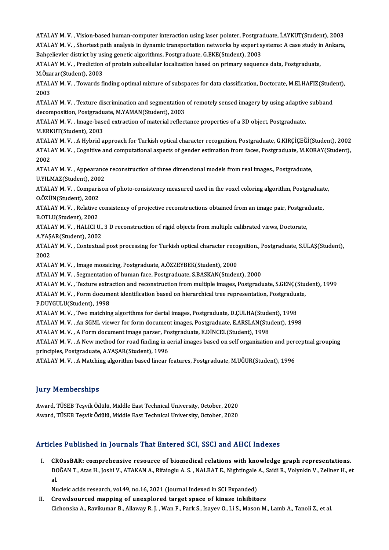ATALAY M. V. , Vision-based human-computer interaction using laser pointer, Postgraduate, İ.AYKUT(Student), 2003<br>ATALAY M. V. , Vision-based human-computer interaction using laser pointer, Postgraduate, İ.AYKUT(Student), 2 ATALAY M. V. , Vision-based human-computer interaction using laser pointer, Postgraduate, İ.AYKUT(Student), 2003<br>ATALAY M. V. , Shortest path analysis in dynamic transportation networks by expert systems: A case study in A ATALAY M. V. , Vision-based human-computer interaction using laser pointer, Postgrad<br>ATALAY M. V. , Shortest path analysis in dynamic transportation networks by expert s<br>Bahçelievler district by using genetic algorithms, P ATALAY M. V. , Shortest path analysis in dynamic transportation networks by expert systems: A case study in Bahçelievler district by using genetic algorithms, Postgraduate, G.EKE(Student), 2003<br>ATALAY M. V. , Prediction of Bahçelievler district by us<br>ATALAY M. V. , Prediction<br>M.Özarar(Student), 2003<br>ATALAY M. V. . Towards fi ATALAY M. V. , Prediction of protein subcellular localization based on primary sequence data, Postgraduate,<br>M.Özarar(Student), 2003<br>ATALAY M. V. , Towards finding optimal mixture of subspaces for data classification, Docto M.Öza<br>ATAL*ı*<br>2003<br>ATAL ATALAY M. V. , Towards finding optimal mixture of subspaces for data classification, Doctorate, M.ELHAFIZ(Stude<br>2003<br>ATALAY M. V. , Texture discrimination and segmentation of remotely sensed imagery by using adaptive subba 2003<br>ATALAY M. V. , Texture discrimination and segmentation<br>decomposition, Postgraduate, M.YAMAN(Student), 2003<br>ATALAY M. V. , Image based extraction of material reflect ATALAY M. V. , Texture discrimination and segmentation of remotely sensed imagery by using adaptive<br>decomposition, Postgraduate, M.YAMAN(Student), 2003<br>ATALAY M. V. , Image-based extraction of material reflectance properti decomposition, Postgraduate, M.YAMAN(Student), 2003<br>ATALAY M. V. , Image-based extraction of material reflectance properties of a 3D object, Postgraduate,<br>M.ERKUT(Student), 2003 ATALAYM.V. ,AHybrid approach forTurkish optical character recognition,Postgraduate,G.KIRÇİÇEĞİ(Student),2002 M.ERKUT(Student), 2003<br>ATALAY M. V. , A Hybrid approach for Turkish optical character recognition, Postgraduate, G.KIRÇİÇEĞİ(Student),<br>ATALAY M. V. , Cognitive and computational aspects of gender estimation from faces, Pos ATAL<br>ATAL<br>2002<br>ATAL ATALAY M. V. , Cognitive and computational aspects of gender estimation from faces, Postgraduate, M.KO<br>2002<br>ATALAY M. V. , Appearance reconstruction of three dimensional models from real images., Postgraduate,<br>U.V.U.MAZ(St 2002<br>ATALAY M. V. , Appearance reconstruction of three dimensional models from real images., Postgraduate,<br>U.YILMAZ(Student), 2002 ATALAY M. V. , Appearance reconstruction of three dimensional models from real images., Postgraduate,<br>U.YILMAZ(Student), 2002<br>ATALAY M. V. , Comparison of photo-consistency measured used in the voxel coloring algorithm, Po U.YILMAZ(Student), 200<br>ATALAY M. V. , Comparis<br>O.ÖZÜN(Student), 2002<br>ATALAY M. V. , Polative 4 ATALAY M. V. , Comparison of photo-consistency measured used in the voxel coloring algorithm, Postgraduat<br>0.ÖZÜN(Student), 2002<br>ATALAY M. V. , Relative consistency of projective reconstructions obtained from an image pair, O.ÖZÜN(Student), 2002<br>ATALAY M. V. , Relative<br>B.OTLU(Student), 2002<br>ATALAY M. V. , HALICLU ATALAY M. V. , Relative consistency of projective reconstructions obtained from an image pair, Postgra<br>B.OTLU(Student), 2002<br>ATALAY M. V. , HALICI U., 3 D reconstruction of rigid objects from multiple calibrated views, Doc B.OTLU(Student), 2002<br>ATALAY M. V. , HALICI U., 3 D reconstruction of rigid objects from multiple calibrated views, Doctorate,<br>A.YAŞAR(Student), 2002 ATALAY M. V. , HALICI U., 3 D reconstruction of rigid objects from multiple calibrated views, Doctorate,<br>A.YAŞAR(Student), 2002<br>ATALAY M. V. , Contextual post processing for Turkish optical character recognition., Postgrad A YAŞ<br>ATAL<br>2002<br>ATAL ATALAY M. V. , Contextual post processing for Turkish optical character reco.<br>2002<br>ATALAY M. V. , Image mosaicing, Postgraduate, A.ÖZZEYBEK(Student), 2000<br>ATALAY M. V. , Segmentation of human face. Postgraduate, S.BASKAN(S 2002<br>ATALAY M. V. , Image mosaicing, Postgraduate, A.ÖZZEYBEK(Student), 2000<br>ATALAY M. V. , Segmentation of human face, Postgraduate, S.BASKAN(Student), 2000 ATALAY M. V., Texture extraction and reconstruction from multiple images, Postgraduate, S.GENC(Student), 1999 ATALAY M. V. , Segmentation of human face, Postgraduate, S.BASKAN(Student), 2000<br>ATALAY M. V. , Texture extraction and reconstruction from multiple images, Postgraduate, S.GENÇ(Stu<br>ATALAY M. V. , Form document identificati ATALAY M. V. , Texture extra<br>ATALAY M. V. , Form docume<br>P.DUYGULU(Student), 1998<br>ATALAY M. V. . Two matchin ATALAY M. V. , Form document identification based on hierarchical tree representation, Postgradua<br>P.DUYGULU(Student), 1998<br>ATALAY M. V. , Two matching algorithms for derial images, Postgraduate, D.ÇULHA(Student), 1998<br>ATAL P.DUYGULU(Student), 1998<br>ATALAY M. V. , Two matching algorithms for derial images, Postgraduate, D.ÇULHA(Student), 1998<br>ATALAY M. V. , An SGML viewer for form document images, Postgraduate, E.ARSLAN(Student), 1998 ATALAY M. V. , Two matching algorithms for derial images, Postgraduate, D.ÇULHA(Student)<br>ATALAY M. V. , An SGML viewer for form document images, Postgraduate, E.ARSLAN(Student), 1998<br>ATALAY M. V. , A Form document image pa ATALAY M. V. , An SGML viewer for form document images, Postgraduate, E.ARSLAN(Student), 1998<br>ATALAY M. V. , A Form document image parser, Postgraduate, E.DİNCEL(Student), 1998<br>ATALAY M. V. , A New method for road finding ATALAY M. V. , A Form document image parser, Po<br>ATALAY M. V. , A New method for road finding in a<br>principles, Postgraduate, A.YAŞAR(Student), 1996<br>ATALAY M. V. , A Matebing algorithm based linear ATALAY M. V. , A New method for road finding in aerial images based on self organization and pero<br>principles, Postgraduate, A.YAŞAR(Student), 1996<br>ATALAY M. V. , A Matching algorithm based linear features, Postgraduate, M. ATALAY M. V. , A Matching algorithm based linear features, Postgraduate, M.UĞUR(Student), 1996<br>Jury Memberships

Award, TÜSEB Teşvik Ödülü, Middle East Technical University, October, 2020 Award, TÜSEB Teşvik Ödülü, Middle East Technical University, October, 2020

### Articles Published in Journals That Entered SCI, SSCI and AHCI Indexes

rticles Published in Journals That Entered SCI, SSCI and AHCI Indexes<br>I. CROssBAR: comprehensive resource of biomedical relations with knowledge graph representations.<br>POČAN T. Ates H. Joshi V. ATAKAN A. Bifaiosh: A. S. NA STES T USHSHEU III JOUTHUIS THUC ENTER OU SOL, SSOT UNU THIGT INUCRES<br>CROssBAR: comprehensive resource of biomedical relations with knowledge graph representations.<br>DOĞAN T., Atas H., Joshi V., ATAKAN A., Rifaioglu A. S. , CR<br>DC<br>al. DOĞAN T., Atas H., Joshi V., ATAKAN A., Rifaioglu A. S. , NALBAT E., Nightingale A., Saidi R., Volynkin V., Zellner H., et<br>al.<br>Nucleic acids research, vol.49, no.16, 2021 (Journal Indexed in SCI Expanded)

II. Crowdsourced mapping of unexplored target space of kinase inhibitors Cichonska A., Ravikumar B., Allaway R. J. , Wan F., Park S., Isayev O., Li S., Mason M., Lamb A., Tanoli Z., et al.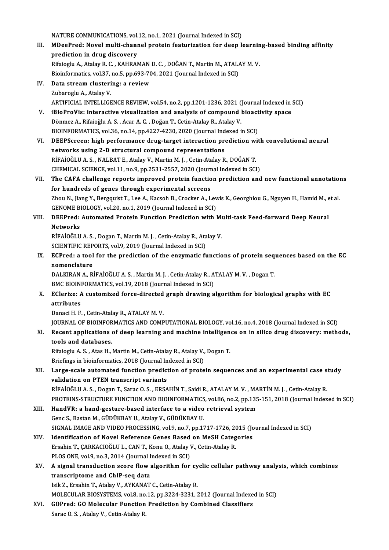NATURE COMMUNICATIONS, vol.12, no.1, 2021 (Journal Indexed in SCI)<br>MDeePred: Novel multi channel protein featurization for deep l NATURE COMMUNICATIONS, vol.12, no.1, 2021 (Journal Indexed in SCI)<br>III. MDeePred: Novel multi-channel protein featurization for deep learning-based binding affinity NATURE COMMUNICATIONS, vol.<br>MDeePred: Novel multi-chani<br>prediction in drug discovery<br>Bifaiogly A. Atalov B.C., KAHBAI MDeePred: Novel multi-channel protein featurization for deep learnin<br>prediction in drug discovery<br>Rifaioglu A., Atalay R. C. , KAHRAMAN D. C. , DOĞAN T., Martin M., ATALAY M. V.<br>Bioinformatics vol 37, no 5, nn 603, 704, 20 prediction in drug discovery<br>Rifaioglu A., Atalay R. C. , KAHRAMAN D. C. , DOĞAN T., Martin M., ATALAY M. V. IV. Data stream clustering: a review<br>Zubaroglu A., Atalay V. Bioinformatics, vol.37, no.5, pp.693-704, 2021 (Journal Indexed in SCI) ARTIFICIAL INTELLIGENCE REVIEW, vol.54, no.2, pp.1201-1236, 2021 (Journal Indexed in SCI) V. iBioProVis: interactive visualization and analysis of compound bioactivity space Dönmez A., Rifaioğlu A.S., Acar A.C., Doğan T., Cetin-Atalay R., Atalay V. iBioProVis: interactive visualization and analysis of compound bioact<br>Dönmez A., Rifaioğlu A. S. , Acar A. C. , Doğan T., Cetin-Atalay R., Atalay V.<br>BIOINFORMATICS, vol.36, no.14, pp.4227-4230, 2020 (Journal Indexed in SCI VI. DEEPScreen: high performance drug-target interaction prediction with convolutional neural BIOINFORMATICS, vol.36, no.14, pp.4227-4230, 2020 (Journal Ind<br>DEEPScreen: high performance drug-target interaction pro<br>networks using 2-D structural compound representations<br>PIEAIOČLUAS - NALPATE Atalay V. Mortin M.L. Cet RİFAİOĞLUA.S. ,NALBATE.,AtalayV.,MartinM. J. ,Cetin-AtalayR.,DOĞANT. networks using 2-D structural compound representations<br>RİFAİOĞLU A. S. , NALBAT E., Atalay V., Martin M. J. , Cetin-Atalay R., DOĞAN T.<br>CHEMICAL SCIENCE, vol.11, no.9, pp.2531-2557, 2020 (Journal Indexed in SCI)<br>The GAEA s VII. The CAFA challenge reports improved protein function prediction and new functional annotations for hundreds of genes through experimental screens CHEMICAL SCIENCE, vol.11, no.9, pp.2531-2557, 2020 (Journ<br>The CAFA challenge reports improved protein function<br>for hundreds of genes through experimental screens<br>They N. Jiang V. Persouist T. Lee A. Kesseb B. Creeker A. J. The CAFA challenge reports improved protein function prediction and new functional annotation<br>for hundreds of genes through experimental screens<br>Zhou N., Jiang Y., Bergquist T., Lee A., Kacsoh B., Crocker A., Lewis K., Geo for hundreds of genes through experimental screens<br>Zhou N., Jiang Y., Bergquist T., Lee A., Kacsoh B., Crocker A., Lev<br>GENOME BIOLOGY, vol.20, no.1, 2019 (Journal Indexed in SCI)<br>DEEProd: Automoted Protein Eunstian Prodict Zhou N., Jiang Y., Bergquist T., Lee A., Kacsoh B., Crocker A., Lewis K., Georghiou G., Nguyen H., Hamid M., e<br>GENOME BIOLOGY, vol.20, no.1, 2019 (Journal Indexed in SCI)<br>VIII. DEEPred: Automated Protein Function Predictio GENOME BIOLOGY, vol.20, no.1, 2019 (Journal Indexed in SCI)<br>DEEPred: Automated Protein Function Prediction with Mi<br>Networks<br>RİFAİOĞLU A. S., Dogan T., Martin M. J., Cetin-Atalay R., Atalay V. DEEPred: Automated Protein Function Prediction with Mi<br>Networks<br>RİFAİOĞLU A. S. , Dogan T., Martin M. J. , Cetin-Atalay R., Atalay V.<br>SCIENTIEIC PEPOPTS vol.9, 2019 (Journal Indoved in SCI) Networks<br>RİFAİOĞLU A. S. , Dogan T., Martin M. J. , Cetin-Atalay R., Ata<br>SCIENTIFIC REPORTS, vol.9, 2019 (Journal Indexed in SCI)<br>ECProd: a tool for the prodistion of the engumatic fa RIFAIOĞLU A. S. , Dogan T., Martin M. J. , Cetin-Atalay R., Atalay V.<br>SCIENTIFIC REPORTS, vol.9, 2019 (Journal Indexed in SCI)<br>IX. ECPred: a tool for the prediction of the enzymatic functions of protein sequences based on SCIENTIFIC REP<br>ECPred: a tool<br>nomenclature<br>DALKIPANA R ECPred: a tool for the prediction of the enzymatic functions of protein seq<br>nomenclature<br>DALKIRAN A., RİFAİOĞLU A. S. , Martin M. J. , Cetin-Atalay R., ATALAY M. V. , Dogan T.<br>PMC PIOINEOPMATICS. val.19, 2018 (Journal Indo nomenclature<br>DALKIRAN A., RİFAİOĞLU A. S. , Martin M. J. , Cetin-Atalay R., ATALAY M. V. , Dogan T. DALKIRAN A., RİFAİOĞLU A. S. , Martin M. J. , Cetin-Atalay R., ATALAY M. V. , Dogan T.<br>BMC BIOINFORMATICS, vol.19, 2018 (Journal Indexed in SCI)<br>X. EClerize: A customized force-directed graph drawing algorithm for biologic BMC BIOINFORMATICS, vol.19, 2018 (Journal Indexed in SCI)<br>EClerize: A customized force-directed graph drawing a<br>attributes<br>Danaci H. F., Cetin-Atalay R., ATALAY M. V. EClerize: A customized force-directed<br>attributes<br>Danaci H. F. , Cetin-Atalay R., ATALAY M. V.<br>JOUPMAL OF PJOJNEOPMATICS AND COMP JOURNAL OF BIOINFORMATICS AND COMPUTATIONAL BIOLOGY, vol.16, no.4, 2018 (Journal Indexed in SCI) Danaci H. F. , Cetin-Atalay R., ATALAY M. V.<br>JOURNAL OF BIOINFORMATICS AND COMPUTATIONAL BIOLOGY, vol.16, no.4, 2018 (Journal Indexed in SCI)<br>XI. Recent applications of deep learning and machine intelligence on in silico d **JOURNAL OF BIOINFOR<br>Recent applications<br>tools and databases.**<br>Pifaiogly A.S., Atas H.: Recent applications of deep learning and machine intelligen<br>tools and databases.<br>Rifaioglu A. S. , Atas H., Martin M., Cetin-Atalay R., Atalay V., Dogan T.<br>Priefings in bioinformatics, 2018 (Journal Indoved in SCL). tools and databases.<br>Rifaioglu A. S., Atas H., Martin M., Cetin-Atalay R., Atalay V., Dogan T. XII. Large-scale automated function prediction of protein sequences and an experimental case study validation on PTEN transcript variants Briefings in bioinformatics, 2018 (Journal Indexed in SCI) RİFAİOĞLU A.S., Dogan T., Sarac O.S., ERSAHİN T., Saidi R., ATALAY M.V., MARTİN M.J., Cetin-Atalay R. validation on PTEN transcript variants<br>RİFAİOĞLU A. S. , Dogan T., Sarac O. S. , ERSAHİN T., Saidi R., ATALAY M. V. , MARTİN M. J. , Cetin-Atalay R.<br>PROTEINS-STRUCTURE FUNCTION AND BIOINFORMATICS, vol.86, no.2, pp.135-151, RIFAIOĞLU A. S. , Dogan T., Sarac O. S. , ERSAHIN T., Saidi R., ATALAY M. V. , MA<br>PROTEINS-STRUCTURE FUNCTION AND BIOINFORMATICS, vol.86, no.2, pp.135<br>XIII. HandVR: a hand-gesture-based interface to a video retrieval syste PROTEINS-STRUCTURE FUNCTION AND BIOINFORMATICS<br>HandVR: a hand-gesture-based interface to a video<br>Genc S., Bastan M., GÜDÜKBAY U., Atalay V., GÜDÜKBAY U.<br>SICNAL IMACE AND VIDEO BROCESSING .vol.9, no.7, nn.17 HandVR: a hand-gesture-based interface to a video retrieval system<br>Genc S., Bastan M., GÜDÜKBAY U., Atalay V., GÜDÜKBAY U.<br>SIGNAL IMAGE AND VIDEO PROCESSING, vol.9, no.7, pp.1717-1726, 2015 (Journal Indexed in SCI)<br>Identif Genc S., Bastan M., GÜDÜKBAY U., Atalay V., GÜDÜKBAY U.<br>SIGNAL IMAGE AND VIDEO PROCESSING, vol.9, no.7, pp.1717-1726, 2015 (Jc<br>XIV. Identification of Novel Reference Genes Based on MeSH Categories<br>Freebin T. CABKACIOČI II SIGNAL IMAGE AND VIDEO PROCESSING, vol.9, no.7, pp.1717-1726, 20<br>Identification of Novel Reference Genes Based on MeSH Categ<br>Ersahin T., ÇARKACIOĞLU L., CAN T., Konu O., Atalay V., Cetin-Atalay R.<br>BLOS ONE vol.9, no.2, 201 Identification of Novel Reference Genes Based<br>Ersahin T., ÇARKACIOĞLU L., CAN T., Konu O., Atalay V<br>PLOS ONE, vol.9, no.3, 2014 (Journal Indexed in SCI)<br>A signal transdustion ssore flow alsonithm for Ersahin T., ÇARKACIOĞLU L., CAN T., Konu O., Atalay V., Cetin-Atalay R.<br>PLOS ONE, vol.9, no.3, 2014 (Journal Indexed in SCI)<br>XV. A signal transduction score flow algorithm for cyclic cellular pathway analysis, which combin PLOS ONE, vol 9, no 3, 2014 (Journal Indexed in SCI) IsikZ.,ErsahinT.,AtalayV.,AYKANATC.,Cetin-AtalayR. MOLECULAR BIOSYSTEMS, vol.8, no.12, pp.3224-3231, 2012 (Journal Indexed in SCI) XVI. GOPred: GO Molecular Function Prediction by Combined Classifiers Sarac O.S., Atalay V., Cetin-Atalay R.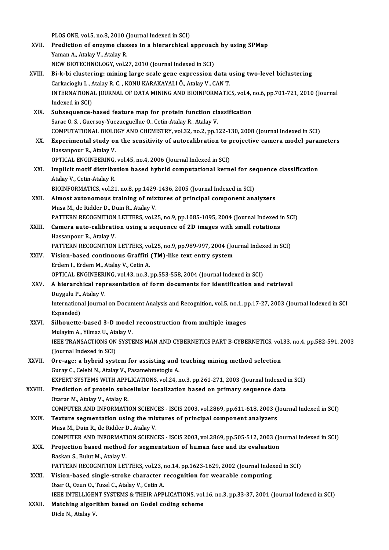PLOS ONE, vol.5, no.8, 2010 (Journal Indexed in SCI)<br>Prodiction of enturne classes in a hierarchical

- PLOS ONE, vol.5, no.8, 2010 (Journal Indexed in SCI)<br>XVII. Prediction of enzyme classes in a hierarchical approach by using SPMap PLOS ONE, vol.5, no.8, 2010 (<br>Prediction of enzyme clas<br>Yaman A., Atalay V., Atalay R.<br>NEW PIOTECHNOLOCY vol.2 Prediction of enzyme classes in a hierarchical approac<br>Yaman A., Atalay V., Atalay R.<br>NEW BIOTECHNOLOGY, vol.27, 2010 (Journal Indexed in SCI)<br>Bight biglustering, mining large scale gane europeesion 4 Yaman A., Atalay V., Atalay R.<br>NEW BIOTECHNOLOGY, vol.27, 2010 (Journal Indexed in SCI)<br>XVIII. Bi-k-bi clustering: mining large scale gene expression data using two-level biclustering<br>Carkasiagh J. Atalay B.C., KONII KARAK
- NEW BIOTECHNOLOGY, vol.27, 2010 (Journal Indexed in SCI)<br>Bi-k-bi clustering: mining large scale gene expression data i<br>Carkacioglu L., Atalay R. C. , KONU KARAKAYALI Ö., Atalay V., CAN T.<br>INTERNATIONAL JOURNAL OF DATA MINI Bi-k-bi clustering: mining large scale gene expression data using two-level biclustering<br>Carkacioglu L., Atalay R. C. , KONU KARAKAYALI Ö., Atalay V., CAN T.<br>INTERNATIONAL JOURNAL OF DATA MINING AND BIOINFORMATICS, vol.4, Carkacioglu L., *i*<br>INTERNATIONA<br>Indexed in SCI)<br>Subsequance INTERNATIONAL JOURNAL OF DATA MINING AND BIOINFORMATICS, vol.4, indexed in SCI)<br>XIX. Subsequence-based feature map for protein function classification<br>Sana O. S. Cuersou Yuerueruellue O. Cetin Atalau B. Atalau V.
- Indexed in SCI)<br>Subsequence-based feature map for protein function clast<br>Sarac O.S., Guersoy-Yuezueguellue O., Cetin-Atalay R., Atalay V.<br>COMBUTATIONAL RIOLOCY AND CHEMISTRY vel 32, no 3, nn 1 Subsequence-based feature map for protein function classification<br>Sarac O. S. , Guersoy-Yuezueguellue O., Cetin-Atalay R., Atalay V.<br>COMPUTATIONAL BIOLOGY AND CHEMISTRY, vol.32, no.2, pp.122-130, 2008 (Journal Indexed in S Sarac O. S., Guersoy-Yuezueguellue O., Cetin-Atalay R., Atalay V.<br>COMPUTATIONAL BIOLOGY AND CHEMISTRY, vol.32, no.2, pp.122-130, 2008 (Journal Indexed in SCI)<br>XX. Experimental study on the sensitivity of autocalibration to
- COMPUTATIONAL BIOLO<br>Experimental study of<br>Hassanpour R., Atalay V.<br>OPTICAL ENCINEEPINC Experimental study on the sensitivity of autocalibration to p<br>Hassanpour R., Atalay V.<br>OPTICAL ENGINEERING, vol.45, no.4, 2006 (Journal Indexed in SCI)<br>Implicit motif distribution based bybrid computational konn
	-
- Hassanpour R., Atalay V.<br>OPTICAL ENGINEERING, vol.45, no.4, 2006 (Journal Indexed in SCI)<br>XXI. Implicit motif distribution based hybrid computational kernel for sequence classification<br>Atalay V. Cetin Atalay P. OPTICAL ENGINEERING,<br>Implicit motif distribu<br>Atalay V., Cetin-Atalay R.<br>PLOINEODMATICS, vol.21 Implicit motif distribution based hybrid computational kernel for se<br>Atalay V., Cetin-Atalay R.<br>BIOINFORMATICS, vol.21, no.8, pp.1429-1436, 2005 (Journal Indexed in SCI)<br>Almost sutenemeus training of miutures of nuisinal c
- Atalay V., Cetin-Atalay R.<br>BIOINFORMATICS, vol.21, no.8, pp.1429-1436, 2005 (Journal Indexed in SCI)<br>XXII. Almost autonomous training of mixtures of principal component analyzers<br>Muse M. de Bidder D. Duin B. Ataley V. BIOINFORMATICS, vol.21, no.8, pp.1429<br>Almost autonomous training of mix<br>Musa M., de Ridder D., Duin R., Atalay V.<br>RATTEDN RECOCNITION LETTEDS, vol.2 Almost autonomous training of mixtures of principal component analyzers<br>Musa M., de Ridder D., Duin R., Atalay V.<br>PATTERN RECOGNITION LETTERS, vol.25, no.9, pp.1085-1095, 2004 (Journal Indexed in SCI)<br>Camera auto calibrati
- Musa M., de Ridder D., Duin R., Atalay V.<br>PATTERN RECOGNITION LETTERS, vol.25, no.9, pp.1085-1095, 2004 (Journal Indexed in XXIII. Camera auto-calibration using a sequence of 2D images with small rotations Hassanpour R., A PATTERN RECOGNITION<br>Camera auto-calibrati<br>Hassanpour R., Atalay V.<br>PATTEPN PECOCNITION Camera auto-calibration using a sequence of 2D images with small rotations<br>Hassanpour R., Atalay V.<br>PATTERN RECOGNITION LETTERS, vol.25, no.9, pp.989-997, 2004 (Journal Indexed in SCI)<br>Vision based sontinuous Craffiti (TM)
- XXIV. Vision-based continuous Graffiti (TM)-like text entry system<br>Erdem I., Erdem M., Atalay V., Cetin A. PATTERN RECOGNITION LETTERS, vo<br>Vision-based continuous Graffiti<br>Erdem I., Erdem M., Atalay V., Cetin A.<br>OPTICAL ENCINEERING vol 42, no 3 . Vision-based continuous Graffiti (TM)-like text entry system<br>Erdem I., Erdem M., Atalay V., Cetin A.<br>OPTICAL ENGINEERING, vol.43, no.3, pp.553-558, 2004 (Journal Indexed in SCI)<br>A hierarchisel representation of form desume
- XXV. A hierarchical representation of form documents for identification and retrieval<br>Duygulu P., Atalay V. OPTICAL ENGINEERI<br>A hierarchical rep:<br>Duygulu P., Atalay V.<br>International Journal A hierarchical representation of form documents for identification and retrieval<br>Duygulu P., Atalay V.<br>International Journal on Document Analysis and Recognition, vol.5, no.1, pp.17-27, 2003 (Journal Indexed in SCI<br>Eynande Duygulu P.,<br>Internation:<br>Expanded)<br>Silbouatte International Journal on Document Analysis and Recognition, vol.5, no.1, p<br>Expanded)<br>XXVI. Silhouette-based 3-D model reconstruction from multiple images<br>Mulayim A Vilmaz II Atalay V.
- Expanded)<br>Silhouette-based 3-D model reconstruction from multiple images<br>Mulayim A., Yilmaz U., Atalay V. Silhouette-based 3-D model reconstruction from multiple images<br>Mulayim A., Yilmaz U., Atalay V.<br>IEEE TRANSACTIONS ON SYSTEMS MAN AND CYBERNETICS PART B-CYBERNETICS, vol.33, no.4, pp.582-591, 2003<br>(Jaunnal Indoved in SCL) Mulayim A., Yilmaz U., Ata<br>IEEE TRANSACTIONS ON<br>(Journal Indexed in SCI)<br>One agay a hythrid syst IEEE TRANSACTIONS ON SYSTEMS MAN AND CYBERNETICS PART B-CYBERNETICS, vol.<br>(Journal Indexed in SCI)<br>XXVII. Ore-age: a hybrid system for assisting and teaching mining method selection<br> $C_{\text{WRW}} C_{\text{S}}$ Calabi N. Atalay V. Bec
- (Journal Indexed in SCI)<br>Ore-age: a hybrid system for assisting and teaching mining method selection<br>Guray C., Celebi N., Atalay V., Pasamehmetoglu A. EXPERT SYSTEMS WITH APPLICATIONS, vol.24, no.3, pp.261-271, 2003 (Journal Indexed in SCI) Guray C., Celebi N., Atalay V., Pasamehmetoglu A.<br>EXPERT SYSTEMS WITH APPLICATIONS, vol.24, no.3, pp.261-271, 2003 (Journal Indexed<br>XXVIII. Prediction of protein subcellular localization based on primary sequence data

EXPERT SYSTEMS WITH APPI<br>Prediction of protein subc<br>Ozarar M., Atalay V., Atalay R.<br>COMPUTER AND INFORMATI Prediction of protein subcellular localization based on primary sequence data<br>Ozarar M., Atalay V., Atalay R.<br>COMPUTER AND INFORMATION SCIENCES - ISCIS 2003, vol.2869, pp.611-618, 2003 (Journal Indexed in SCI)<br>Texture cosm Ozarar M., Atalay V., Atalay R.<br>COMPUTER AND INFORMATION SCIENCES - ISCIS 2003, vol.2869, pp.611-618, 2003 ()<br>XXIX. Texture segmentation using the mixtures of principal component analyzers<br>Muse M. Duin B. de Bidder D. Atal

COMPUTER AND INFORMATION SCIENC<br>Texture segmentation using the mix<br>Musa M., Duin R., de Ridder D., Atalay V.<br>COMBUTER AND INFORMATION SCIENC Texture segmentation using the mixtures of principal component analyzers<br>Musa M., Duin R., de Ridder D., Atalay V.<br>COMPUTER AND INFORMATION SCIENCES - ISCIS 2003, vol.2869, pp.505-512, 2003 (Journal Indexed in SCI)<br>Project Musa M., Duin R., de Ridder D., Atalay V.<br>COMPUTER AND INFORMATION SCIENCES - ISCIS 2003, vol.2869, pp.505-512, 2003 (Jonew XXX. Projection based method for segmentation of human face and its evaluation

- COMPUTER AND INFORMAT<br>Projection based method<br>Baskan S., Bulut M., Atalay V.<br>BATTERN BECOCNITION LET Projection based method for segmentation of human face and its evaluation<br>Baskan S., Bulut M., Atalay V.<br>PATTERN RECOGNITION LETTERS, vol.23, no.14, pp.1623-1629, 2002 (Journal Indexed in SCI)<br>Vision based single strake sh Baskan S., Bulut M., Atalay V.<br>PATTERN RECOGNITION LETTERS, vol.23, no.14, pp.1623-1629, 2002 (Journal Inde.<br>XXXI. Vision-based single-stroke character recognition for wearable computing<br>Ozer O., Ozun O., Tuzel C., Atalay
- PATTERN RECOGNITION LETTERS, vol.23, i<br>Vision-based single-stroke character i<br>Ozer O., Ozun O., Tuzel C., Atalay V., Cetin A.<br>JEEE INTELLICENT SYSTEMS & THEID APP. Vision-based single-stroke character recognition for wearable computing<br>Ozer O., Ozun O., Tuzel C., Atalay V., Cetin A.<br>IEEE INTELLIGENT SYSTEMS & THEIR APPLICATIONS, vol.16, no.3, pp.33-37, 2001 (Journal Indexed in SCI)<br>M
- XXXII. Matching algorithm based on Godel coding scheme<br>Dicle N., Atalay V. IEEE INTELLIGEN<br><mark>Matching algori</mark><br>Dicle N., Atalay V.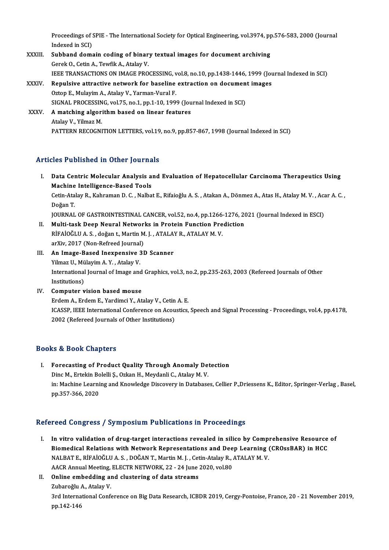Proceedings of SPIE - The International Society for Optical Engineering, vol.3974, pp.576-583, 2000 (Journal<br>Indeved in SCD Proceedings of S<br>Indexed in SCI)<br>Subband dame Proceedings of SPIE - The International Society for Optical Engineering, vol.3974, pp<br>Indexed in SCI)<br>XXXIII. Subband domain coding of binary textual images for document archiving<br>Carel: O. Catin A. Taufil: A. Atalay V.

- Indexed in SCI)<br>Subband domain coding of binary textual images for document archiving<br>Gerek O., Cetin A., Tewfik A., Atalay V. IEEE TRANSACTIONS ON IMAGE PROCESSING, vol.8, no.10, pp.1438-1446, 1999 (Journal Indexed in SCI) Gerek O., Cetin A., Tewfik A., Atalay V.<br>IEEE TRANSACTIONS ON IMAGE PROCESSING, vol.8, no.10, pp.1438-1446, 1999 (Journal XXXIV.<br>XXXIV. Repulsive attractive network for baseline extraction on document images
- Oztop E., Mulayim A., Atalay V., Yarman-Vural F.<br>SIGNAL PROCESSING, vol.75, no.1, pp.1-10, 1999 (Journal Indexed in SCI) Repulsive attractive network for baseline extraction on documen<br>Oztop E., Mulayim A., Atalay V., Yarman-Vural F.<br>SIGNAL PROCESSING, vol.75, no.1, pp.1-10, 1999 (Journal Indexed in SCI)<br>A matching algorithm based on linear Oztop E., Mulayim A., Atalay V., Yarman-Vural F.<br>SIGNAL PROCESSING, vol.75, no.1, pp.1-10, 1999 (Jou<br>XXXV. A matching algorithm based on linear features SIGNAL PROCESSIN<br>A matching algori<br>Atalay V., Yilmaz M.<br>PATTEPN PECOCNI
	- Atalay V., Yilmaz M.<br>PATTERN RECOGNITION LETTERS, vol.19, no.9, pp.857-867, 1998 (Journal Indexed in SCI)

### Articles Published in Other Journals

- rticles Published in Other Journals<br>I. Data Centric Molecular Analysis and Evaluation of Hepatocellular Carcinoma Therapeutics Using<br>Mashina Intelligance Based Tools Machine Intelligence-Based Tools<br>Machine Intelligence-Based Tools<br>Cetin Atalay B. Kahnaman D. G. Nalba Data Centric Molecular Analysis and Evaluation of Hepatocellular Carcinoma Therapeutics Using<br>Machine Intelligence-Based Tools<br>Cetin-Atalay R., Kahraman D. C. , Nalbat E., Rifaioğlu A. S. , Atakan A., Dönmez A., Atas H., A Machine<br>Cetin-Ata<br>Doğan T.<br>JOUPNAL Cetin-Atalay R., Kahraman D. C. , Nalbat E., Rifaioğlu A. S. , Atakan A., Dönmez A., Atas H., Atalay M. V. , Aca<br>Doğan T.<br>JOURNAL OF GASTROINTESTINAL CANCER, vol.52, no.4, pp.1266-1276, 2021 (Journal Indexed in ESCI)<br>Multi Doğan T.<br>JOURNAL OF GASTROINTESTINAL CANCER, vol.52, no.4, pp.1266-1276, 2021 (Journal Indexed in ESCI)<br>II. Multi-task Deep Neural Networks in Protein Function Prediction
- JOURNAL OF GASTROINTESTINAL CANCER, vol.52, no.4, pp.1266-<br>Multi-task Deep Neural Networks in Protein Function Pre<br>RİFAİOĞLU A. S. , doğan t., Martin M. J. , ATALAY R., ATALAY M. V.<br>ar<sup>y</sup>iy. 2017 (Non Befreed Journal) Multi-task Deep Neural Networ<br>RİFAİOĞLU A. S. , doğan t., Martin M<br>arXiv, 2017 (Non-Refreed Journal)<br>An Imaga Basad Inaxnansiya 21 arXiv, 2017 (Non-Refreed Journal)
- III. An Image-Based Inexpensive 3D Scanner International Journal of Image and Graphics, vol.3, no.2, pp.235-263, 2003 (Refereed Journals of Other Institutions) Yilmaz U., Mülayim A.Y., Atalay V.
- IV. Computer vision based mouse ErdemA.,ErdemE.,YardimciY.,AtalayV.,CetinA.E. Computer vision based mouse<br>Erdem A., Erdem E., Yardimci Y., Atalay V., Cetin A. E.<br>ICASSP, IEEE International Conference on Acoustics, Speech and Signal Processing - Proceedings, vol.4, pp.4178,<br>2002. (Refereed Journals o Erdem A., Erdem E., Yardimci Y., Atalay V., Cetin<br>ICASSP, IEEE International Conference on Acou<br>2002 (Refereed Journals of Other Institutions) 2002 (Refereed Journals of Other Institutions)<br>Books & Book Chapters

ooks & Book Chapters<br>I. Forecasting of Product Quality Through Anomaly Detection<br>Dine M. Extekin Bolelli S. Ozkan H. Maydanli C. Atalay M. V. Le & Doort Shapters<br>Porecasting of Product Quality Through Anomaly De<br>Dinc M., Ertekin Bolelli Ș., Ozkan H., Meydanli C., Atalay M. V.<br>in: Mechine Learning and Knowledge Discovery in Database in: Machine Learning and Knowledge Discovery in Databases, Cellier P.,Driessens K., Editor, Springer-Verlag , Basel,<br>pp.357-366, 2020 Dinc M., Ertekin Bolelli Ş., Ozkan H., Meydanli C., Atalay M. V.

### Refereed Congress / Symposium Publications in Proceedings

- efereed Congress / Symposium Publications in Proceedings<br>I. In vitro validation of drug-target interactions revealed in silico by Comprehensive Resource of<br>Piemedical Pelations with Network Pennesentations and Deep Learnin In vitro validation of drug-target interactions revealed in silico by Comprehensive Resource<br>Biomedical Relations with Network Representations and Deep Learning (CROssBAR) in HCC<br>NALBATE RIEAIOČULA S. DOČANT Martin M.J. Ce In vitro validation of drug-target interactions revealed in silico by Compinion and Deep Learning<br>Biomedical Relations with Network Representations and Deep Learning (NALBAT E., RİFAİOĞLU A. S. , DOĞAN T., Martin M. J. , C Biomedical Relations with Network Representations and Dee<br>NALBAT E., RİFAİOĞLU A. S. , DOĞAN T., Martin M. J. , Cetin-Atalay R., ,<br>AACR Annual Meeting, ELECTR NETWORK, 22 - 24 June 2020, vol.80<br>Online embedding and cluster NALBAT E., RİFAİOĞLU A. S. , DOĞAN T., Martin M. J. , Cet<br>AACR Annual Meeting, ELECTR NETWORK, 22 - 24 June :<br>II. Online embedding and clustering of data streams<br>Zubarağlu A. Atalau V.
- AACR Annual Meeting,<br>**Online embedding a**<br>Zubaroğlu A., Atalay V.<br><sup>2rd International Confe</sup> Online embedding and clustering of data streams<br>Zubaroğlu A., Atalay V.<br>3rd International Conference on Big Data Research, ICBDR 2019, Cergy-Pontoise, France, 20 - 21 November 2019,<br>nn 142 146 Zubaroğlu<br>3rd Interna<br>pp.142-146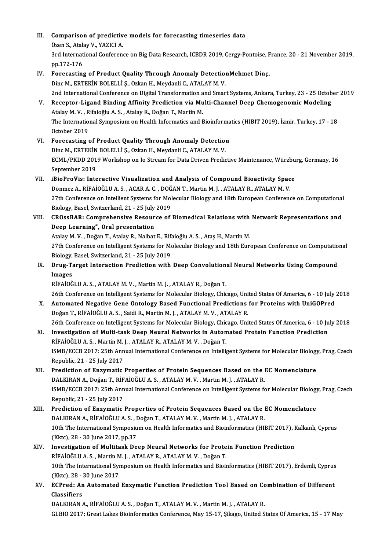| III.  | Comparison of predictive models for forecasting timeseries data                                                                                                                                            |
|-------|------------------------------------------------------------------------------------------------------------------------------------------------------------------------------------------------------------|
|       | Özen S., Atalay V., YAZICI A.                                                                                                                                                                              |
|       | 3rd International Conference on Big Data Research, ICBDR 2019, Cergy-Pontoise, France, 20 - 21 November 2019,                                                                                              |
|       | pp 172-176                                                                                                                                                                                                 |
| IV.   | Forecasting of Product Quality Through Anomaly DetectionMehmet Dinç,                                                                                                                                       |
|       | Dinc M., ERTEKİN BOLELLİ Ş., Ozkan H., Meydanli C., ATALAY M.V.                                                                                                                                            |
| V.    | 2nd International Conference on Digital Transformation and Smart Systems, Ankara, Turkey, 23 - 25 October 2019<br>Receptor-Ligand Binding Affinity Prediction via Multi-Channel Deep Chemogenomic Modeling |
|       | Atalay M.V., Rifaioğlu A.S., Atalay R., Doğan T., Martin M.                                                                                                                                                |
|       | The International Symposium on Health Informatics and Bioinformatics (HIBIT 2019), İzmir, Turkey, 17 - 18<br>October 2019                                                                                  |
| VI.   | Forecasting of Product Quality Through Anomaly Detection                                                                                                                                                   |
|       | Dinc M., ERTEKİN BOLELLİ Ş., Ozkan H., Meydanli C., ATALAY M. V.                                                                                                                                           |
|       | ECML/PKDD 2019 Workshop on Io Stream for Data Driven Predictive Maintenance, Würzburg, Germany, 16                                                                                                         |
|       | September 2019                                                                                                                                                                                             |
| VII.  | iBioProVis: Interactive Visualization and Analysis of Compound Bioactivity Space                                                                                                                           |
|       | Dönmez A., RİFAİOĞLU A. S., ACAR A. C., DOĞAN T., Martin M. J., ATALAY R., ATALAY M. V.                                                                                                                    |
|       | 27th Conference on Intellient Systems for Molecular Biology and 18th European Conference on Computational<br>Biology, Basel, Switzerland, 21 - 25 July 2019                                                |
| VIII. | CROssBAR: Comprehensive Resource of Biomedical Relations with Network Representations and                                                                                                                  |
|       | Deep Learning", Oral presentation                                                                                                                                                                          |
|       | Atalay M.V., Doğan T., Atalay R., Nalbat E., Rifaioğlu A.S., Ataş H., Martin M.                                                                                                                            |
|       | 27th Conference on Intelligent Systems for Molecular Biology and 18th European Conference on Computational                                                                                                 |
|       | Biology, Basel, Switzerland, 21 - 25 July 2019                                                                                                                                                             |
| IX.   | Drug-Target Interaction Prediction with Deep Convolutional Neural Networks Using Compound                                                                                                                  |
|       | Images                                                                                                                                                                                                     |
|       | RİFAİOĞLU A.S., ATALAY M.V., Martin M.J., ATALAY R., Doğan T.                                                                                                                                              |
|       | 26th Conference on Intelligent Systems for Molecular Biology, Chicago, United States Of America, 6 - 10 July 2018                                                                                          |
| X.    | Automated Negative Gene Ontology Based Functional Predictions for Proteins with UniGOPred                                                                                                                  |
|       | Doğan T., RİFAİOĞLU A. S., Saidi R., Martin M. J., ATALAY M. V., ATALAY R.                                                                                                                                 |
|       | 26th Conference on Intelligent Systems for Molecular Biology, Chicago, United States Of America, 6 - 10 July 2018                                                                                          |
| XI.   | Investigation of Multi-task Deep Neural Networks in Automated Protein Function Prediction                                                                                                                  |
|       | RİFAİOĞLU A.S., Martin M.J., ATALAY R., ATALAY M.V., Doğan T.                                                                                                                                              |
|       | ISMB/ECCB 2017: 25th Annual International Conference on Intelligent Systems for Molecular Biology, Prag, Czech<br>Republic, 21 - 25 July 2017                                                              |
|       | Prediction of Enzymatic Properties of Protein Sequences Based on the EC Nomenclature                                                                                                                       |
| XII.  | DALKIRAN A., Doğan T., RİFAİOĞLU A. S., ATALAY M. V., Martin M. J., ATALAY R.                                                                                                                              |
|       | ISMB/ECCB 2017: 25th Annual International Conference on Intelligent Systems for Molecular Biology, Prag, Czech                                                                                             |
|       | Republic, 21 - 25 July 2017                                                                                                                                                                                |
| XIII. | Prediction of Enzymatic Properties of Protein Sequences Based on the EC Nomenclature                                                                                                                       |
|       | DALKIRAN A., RİFAİOĞLU A. S., Doğan T., ATALAY M. V., Martin M. J., ATALAY R.                                                                                                                              |
|       | 10th The International Symposium on Health Informatics and Bioinformatics (HIBIT 2017), Kalkanlı, Cyprus                                                                                                   |
|       | (Kktc), 28 - 30 June 2017, pp 37                                                                                                                                                                           |
| XIV.  | Investigation of Multitask Deep Neural Networks for Protein Function Prediction                                                                                                                            |
|       | RİFAİOĞLU A.S., Martin M.J., ATALAY R., ATALAY M.V., Doğan T.                                                                                                                                              |
|       | 10th The International Symposium on Health Informatics and Bioinformatics (HIBIT 2017), Erdemli, Cyprus                                                                                                    |
|       | (Kktc), 28 - 30 June 2017                                                                                                                                                                                  |
| XV.   | ECPred: An Automated Enzymatic Function Prediction Tool Based on Combination of Different                                                                                                                  |
|       | Classifiers                                                                                                                                                                                                |
|       | DALKIRAN A., RİFAİOĞLU A. S., Doğan T., ATALAY M. V., Martin M. J., ATALAY R.                                                                                                                              |
|       | GLBIO 2017: Great Lakes Bioinformatics Conference, May 15-17, Şikago, United States Of America, 15 - 17 May                                                                                                |
|       |                                                                                                                                                                                                            |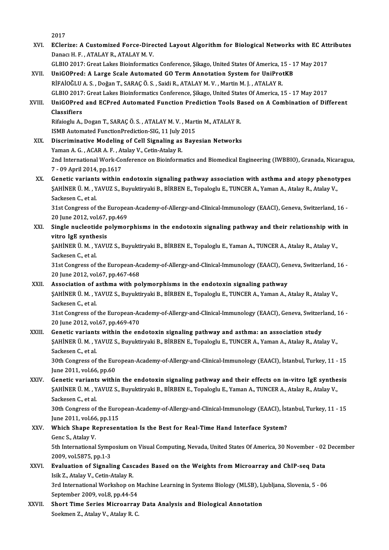2017

- 2017<br>XVI. EClerize: A Customized Force-Directed Layout Algorithm for Biological Networks with EC Attributes<br>Repeal H.E. ATALAY B. ATALAY M.V. Danacı H. F., ATALAY R., ATALAY M. V. EClerize: A Customized Force-Directed Layout Algorithm for Biological Networks with EC Att<br>Danacı H. F. , ATALAY R., ATALAY M. V.<br>GLBIO 2017: Great Lakes Bioinformatics Conference, Şikago, United States Of America, 15 - 17
- GLBIO 2017: Great Lakes Bioinformatics Conference, Şikago, United States Of America, 15 17 May 2017<br>XVII. UniGOPred: A Large Scale Automated GO Term Annotation System for UniProtKB
- RİFAİOĞLUA.S. ,DoğanT.,SARAÇÖ.S. ,SaidiR.,ATALAYM.V. ,MartinM. J. ,ATALAYR. UniGOPred: A Large Scale Automated GO Term Annotation System for UniProtKB<br>RİFAİOĞLU A. S. , Doğan T., SARAÇ Ö. S. , Saidi R., ATALAY M. V. , Martin M. J. , ATALAY R.<br>GLBIO 2017: Great Lakes Bioinformatics Conference, Şika RİFAİOĞLU A. S. , Doğan T., SARAÇ Ö. S. , Saidi R., ATALAY M. V. , Martin M. J. , ATALAY R.<br>GLBIO 2017: Great Lakes Bioinformatics Conference, Şikago, United States Of America, 15 - 17 May 2017<br>XVIII. UniGOPred and ECPred

### GLBIO 2017<br>UniGOPred<br>Classifiers<br><sup>Rifeioclu A</sup> UniGOPred and ECPred Automated Function Prediction Tools B:<br>Classifiers<br>Rifaioglu A., Dogan T., SARAÇ Ö.S. , ATALAY M. V. , Martin M., ATALAY R.<br>ISMB Automated EunctionPrediction SIC 11 July 2015 Classifiers<br>Rifaioglu A., Dogan T., SARAÇ Ö. S. , ATALAY M. V. , Mart<br>ISMB Automated FunctionPrediction-SIG, 11 July 2015<br>Discriminative Modeling of Cell Signeling es Boys

- Rifaioglu A., Dogan T., SARAÇ Ö. S., ATALAY M. V., Martin M., ATALAY R.<br>ISMB Automated FunctionPrediction-SIG, 11 July 2015<br>XIX. Discriminative Modeling of Cell Signaling as Bayesian Networks<br>Vaman A. G. ACAR A. E., Atalay ISMB Automated FunctionPrediction-SIG, 11 July 2015<br>Discriminative Modeling of Cell Signaling as Bayesian Networks<br>Yaman A. G. , ACAR A. F. , Atalay V., Cetin-Atalay R. Discriminative Modeling of Cell Signaling as Bayesian Networks<br>Yaman A. G. , ACAR A. F. , Atalay V., Cetin-Atalay R.<br>2nd International Work-Conference on Bioinformatics and Biomedical Engineering (IWBBIO), Granada, Nicarag Yaman A. G. , ACAR A. F. , At<br>2nd International Work-Co<br>7 - 09 April 2014, pp.1617<br>Constis vertients within 2nd International Work-Conference on Bioinformatics and Biomedical Engineering (IWBBIO), Granada, Nicaragua<br>7 - 09 April 2014, pp.1617<br>XX. Genetic variants within endotoxin signaling pathway association with asthma and ato
- 7 09 April 2014, pp.1617<br>Genetic variants within endotoxin signaling pathway association with asthma and atopy phenot:<br>ŞAHİNER Ü. M. , YAVUZ S., Buyuktiryaki B., BİRBEN E., Topaloglu E., TUNCER A., Yaman A., Atalay R., A **Genetic variant:<br>ŞAHİNER Ü. M. , Y<br>Sackesen C., et al.**<br>21 et Congress of \$AHİNER Ü. M. , YAVUZ S., Buyuktiryaki B., BİRBEN E., Topaloglu E., TUNCER A., Yaman A., Atalay R., Atalay V.,<br>Sackesen C., et al.<br>31st Congress of the European-Academy-of-Allergy-and-Clinical-Immunology (EAACI), Geneva, S

Sackesen C., et al.<br>31st Congress of the Europea<br>20 June 2012, vol.67, pp.469<br>Single pusleetide polymer 31st Congress of the European-Academy-of-Allergy-and-Clinical-Immunology (EAACI), Geneva, Switzerland, 16 -<br>20 June 2012, vol.67, pp.469<br>XXI. Single nucleotide polymorphisms in the endotoxin signaling pathway and their rel

20 June 2012, vol.67, pp.469<br>XXI. Single nucleotide polymorphisms in the endotoxin signaling pathway and their relationship with in<br>vitro IgE synthesis Single nucleotide polymorphisms in the endotoxin signaling pathway and their relationship with<br>vitro IgE synthesis<br>ŞAHİNER Ü. M. , YAVUZ S., Buyuktiryaki B., BİRBEN E., Topaloglu E., Yaman A., TUNCER A., Atalay R., Atalay

vitro IgE synthe<br>ŞAHİNER Ü. M. , Y<br>Sackesen C., et al.<br>21st Congress of \$AHİNER Ü. M. , YAVUZ S., Buyuktiryaki B., BİRBEN E., Topaloglu E., Yaman A., TUNCER A., Atalay R., Atalay V.,<br>Sackesen C., et al.<br>31st Congress of the European-Academy-of-Allergy-and-Clinical-Immunology (EAACI), Geneva, S

Sackesen C., et al.<br>31st Congress of the European-Academy-of-Allergy-and-Clinical-Immunology (EAACI), Geneva, Switzerland, 16 -<br>20 June 2012, vol.67, pp.467-468 31st Congress of the European-Academy-of-Allergy-and-Clinical-Immunology (EAACI), Gen<br>20 June 2012, vol.67, pp.467-468<br>XXII. Association of asthma with polymorphisms in the endotoxin signaling pathway<br>5 Authur Li M. VAVIIZ

### ŞAHİNER Ü. M. , YAVUZ S., Buyuktiryaki B., BİRBEN E., Topaloglu E., TUNCER A., Yaman A., Atalay R., Atalay V.,<br>Sackesen C., et al. Association of a<br>\$AHİNER Ü. M. , Y<br>Sackesen C., et al.<br>21et Congress of

\$AHİNER Ü. M. , YAVUZ S., Buyuktiryaki B., BİRBEN E., Topaloglu E., TUNCER A., Yaman A., Atalay R., Atalay V.,<br>Sackesen C., et al.<br>31st Congress of the European-Academy-of-Allergy-and-Clinical-Immunology (EAACI), Geneva, S Sackesen C., et al.<br>31st Congress of the European-Ac<br>20 June 2012, vol.67, pp.469-470<br>Constis voriants within the en 31st Congress of the European-Academy-of-Allergy-and-Clinical-Immunology (EAACI), Geneva, Switzer<br>20 June 2012, vol.67, pp.469-470<br>XXIII. Genetic variants within the endotoxin signaling pathway and asthma: an association s

## 20 June 2012, vol.67, pp.469-470<br>Genetic variants within the endotoxin signaling pathway and asthma: an association study<br>ŞAHİNER Ü. M. , YAVUZ S., Buyuktiryaki B., BİRBEN E., Topaloglu E., TUNCER A., Yaman A., Atalay R., **Genetic variant:<br>ŞAHİNER Ü. M. , Y<br>Sackesen C., et al.**<br>20th Congress of

\$AHİNER Ü. M. , YAVUZ S., Buyuktiryaki B., BİRBEN E., Topaloglu E., TUNCER A., Yaman A., Atalay R., Atalay V.,<br>Sackesen C., et al.<br>30th Congress of the European-Academy-of-Allergy-and-Clinical-Immunology (EAACI), İstanbul, Sackesen C., et al.<br>30th Congress of the European-Academy-of-Allergy-and-Clinical-Immunology (EAACI), İstanbul, Turkey, 11 - 15<br>June 2011, vol.66, pp.60

### XXIV. Genetic variants within the endotoxin signaling pathway and their effects on in-vitro IgE synthesis June 2011, vol.66, pp.60<br>Genetic variants within the endotoxin signaling pathway and their effects on in-vitro IgE synthe<br>ŞAHİNER Ü. M. , YAVUZ S., Buyuktiryaki B., BİRBEN E., Topaloglu E., Yaman A., TUNCER A., Atalay R., **Genetic variant:<br>ŞAHİNER Ü. M. , Y<br>Sackesen C., et al.**<br>20th Congress of \$AHİNER Ü. M. , YAVUZ S., Buyuktiryaki B., BİRBEN E., Topaloglu E., Yaman A., TUNCER A., Atalay R., Atalay V.,<br>Sackesen C., et al.<br>30th Congress of the European-Academy-of-Allergy-and-Clinical-Immunology (EAACI), İstanbul,

Sackesen C., et al.<br>30th Congress of the European-Academy-of-Allergy-and-Clinical-Immunology (EAACI), İstanbul, Turkey, 11 - 15<br>June 2011, vol.66, pp.115 30th Congress of the European-Academy-of-Allergy-and-Clinical-Immunology (EAACI), ist<br>June 2011, vol.66, pp.115<br>XXV. Which Shape Representation Is the Best for Real-Time Hand Interface System?<br>Cons S. Atrilux V.

## June 2011, vol.66<br>Which Shape Re<br>Genc S., Atalay V.<br>Eth International Which Shape Representation Is the Best for Real-Time Hand Interface System?<br>Genc S., Atalay V.<br>5th International Symposium on Visual Computing, Nevada, United States Of America, 30 November - 02 December<br>2009. vel 5975, pp

309 Genc S., Atalay V.<br>1995 Sth International Symp.<br>2009, vol.5875, pp.1-3<br>Evoluation of Signali 5th International Symposium on Visual Computing, Nevada, United States Of America, 30 November - 02<br>2009, vol.5875, pp.1-3<br>XXVI. Evaluation of Signaling Cascades Based on the Weights from Microarray and ChIP-seq Data<br>Jeik

## 2009, vol.5875, pp.1-3<br>**Evaluation of Signaling Cas**<br>Isik Z., Atalay V., Cetin-Atalay R.<br><sup>2nd International Workshop on</sup> Evaluation of Signaling Cascades Based on the Weights from Microarray and ChIP-seq Data<br>Isik Z., Atalay V., Cetin-Atalay R.<br>3rd International Workshop on Machine Learning in Systems Biology (MLSB), Ljubljana, Slovenia, 5 -

Isik Z., Atalay V., Cetin-Atalay R.<br>3rd International Workshop on N<br>September 2009, vol.8, pp.44-54<br>Short Time Senies Misroenney 3rd International Workshop on Machine Learning in Systems Biology (MLSB), L<sub>i</sub><br>September 2009, vol.8, pp.44-54<br>XXVII. Short Time Series Microarray Data Analysis and Biological Annotation<br>Seekman 7, Atalev V, Atalev B, G

September 2009, vol.8, pp.44-54<br><mark>Short Time Series Microarray</mark><br>Soekmen Z., Atalay V., Atalay R. C.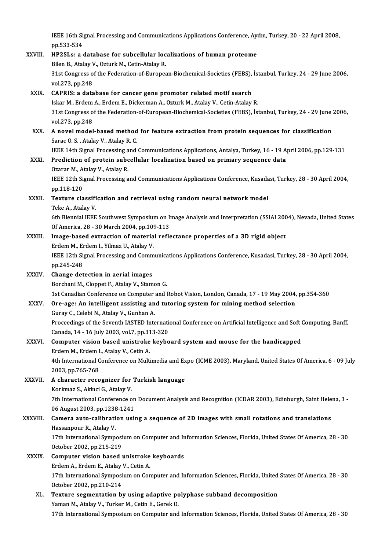IEEE 16th Signal Processing and Communications Applications Conference, Aydın, Turkey, 20 - 22 April 2008,<br>PP 533 534 **IEEE 16th Si**<br>pp.533-534<br>**HP2SL** 9: 8:4 IEEE 16th Signal Processing and Communications Applications Conference, Aypp.533-534<br>XXVIII. HP2SLs: a database for subcellular localizations of human proteome<br>Pilop B. Atalov V. Ortual: M. Cotin Atalov P. pp.533-534<br>HP2SLs: a database for subcellular loc<br>Bilen B., Atalay V., Ozturk M., Cetin-Atalay R.<br>21st Congress of the Eederation of Europes 1928) HP2SLs: a database for subcellular localizations of human proteome<br>Bilen B., Atalay V., Ozturk M., Cetin-Atalay R.<br>31st Congress of the Federation-of-European-Biochemical-Societies (FEBS), İstanbul, Turkey, 24 - 29 J Bilen B., Atalay V<br>31st Congress o<br>vol.273, pp.248<br>CAPPIS, a data 31st Congress of the Federation-of-European-Biochemical-Societies (FEBS),<br>vol.273, pp.248<br>XXIX. CAPRIS: a database for cancer gene promoter related motif search<br>Jelse M. Erdom A. Erdom E. Diskownan A. Orturk M. Atalau V. C vol.273, pp.248<br>CAPRIS: a database for cancer gene promoter related motif search<br>Iskar M., Erdem A., Erdem E., Dickerman A., Ozturk M., Atalay V., Cetin-Atalay R.<br>21st Congress of the Eederation of European Bioshemisel Soc 31st Congress of the Federation-of-European-Biochemical-Societies (FEBS), İstanbul, Turkey, 24 - 29 June 2006, vol.273, pp.248 Iskar M., Erdem A., Erdem E., Dickerman A., Ozturk M., Atalay V., Cetin-Atalay R. 31st Congress of the Federation-of-European-Biochemical-Societies (FEBS), İstanbul, Turkey, 24 - 29 June<br>vol.273, pp.248<br>XXX. A novel model-based method for feature extraction from protein sequences for classification<br>Sarg vol.273, pp.248<br>A novel model-based method<br>Sarac O. S. , Atalay V., Atalay R. C.<br><sup>IEEE 14th</sup> Signal Processing and A novel model-based method for feature extraction from protein sequences for classification<br>Sarac O. S. , Atalay V., Atalay R. C.<br>IEEE 14th Signal Processing and Communications Applications, Antalya, Turkey, 16 - 19 April Sarac O. S., Atalay V., Atalay R. C.<br>IEEE 14th Signal Processing and Communications Applications, Antalya, Turkey, 16 - 19 A<br>XXXI. Prediction of protein subcellular localization based on primary sequence data<br>Oranar M. Ata **IEEE 14th Signal Processing a**<br>**Prediction of protein subc<br>Ozarar M., Atalay V., Atalay R.<br>IEEE 12th Signal Processing a** Prediction of protein subcellular localization based on primary sequence data<br>Ozarar M., Atalay V., Atalay R.<br>IEEE 12th Signal Processing and Communications Applications Conference, Kusadasi, Turkey, 28 - 30 April 2004,<br>nn Ozarar M., Atalay V., Atalay R.<br>IEEE 12th Signal Processing a<br>pp.118-120 IEEE 12th Signal Processing and Communications Applications Conference, Kusada<br>pp.118-120<br>XXXII. Texture classification and retrieval using random neural network model<br>Teks A. Ateler V. Texture classification and retrieval using random neural network model<br>Teke A., Atalay V. Texture classification and retrieval using random neural network model<br>Teke A., Atalay V.<br>6th Biennial IEEE Southwest Symposium on Image Analysis and Interpretation (SSIAI 2004), Nevada, United States<br>Of America 28, 29, 20 Teke A., Atalay V.<br>6th Biennial IEEE Southwest Symposium on I.<br>Of America, 28 - 30 March 2004, pp.109-113<br>Image based extraction of material refle 6th Biennial IEEE Southwest Symposium on Image Analysis and Interpretation (SSIAI 200<br>Of America, 28 - 30 March 2004, pp.109-113<br>XXXIII. Image-based extraction of material reflectance properties of a 3D rigid object<br>Frdom Of America, 28 - 30 March 2004, pp.109-113<br>Image-based extraction of material reflectance properties of a 3D rigid object<br>Erdem M., Erdem I., Yilmaz U., Atalay V. I<mark>mage-based extraction of material reflectance properties of a 3D rigid object</mark><br>Erdem M., Erdem I., Yilmaz U., Atalay V.<br>IEEE 12th Signal Processing and Communications Applications Conference, Kusadasi, Turkey, 28 - 30 Ap Erdem M., El<br>IEEE 12th Si<br>pp.245-248<br>Change det pp.245-248<br>XXXIV. Change detection in aerial images Borchani M., Cloppet F., Atalay V., Stamon G. 1st Canadian Conference on Computer and Robot Vision, London, Canada, 17 - 19 May 2004, pp.354-360 Borchani M., Cloppet F., Atalay V., Stamon G.<br>1st Canadian Conference on Computer and Robot Vision, London, Canada, 17 - 19 May 2004,<br>XXXV. Ore-age: An intelligent assisting and tutoring system for mining method selection<br> 1st Canadian Conference on Computer<br>Ore-age: An intelligent assisting an<br>Guray C., Celebi N., Atalay V., Gunhan A. Ore-age: An intelligent assisting and tutoring system for mining method selection<br>Guray C., Celebi N., Atalay V., Gunhan A.<br>Proceedings of the Seventh IASTED International Conference on Artificial Intelligence and Soft Com Guray C., Celebi N., Atalay V., Gunhan A.<br>Proceedings of the Seventh IASTED International Canada, 14 - 16 July 2003, vol.7, pp.313-320 Proceedings of the Seventh IASTED International Conference on Artificial Intelligence and Soft (<br>Canada, 14 - 16 July 2003, vol.7, pp.313-320<br>XXXVI. Computer vision based unistroke keyboard system and mouse for the handica Canada, 14 - 16 July 2003, vol.7, pp.31<br>Computer vision based unistroke<br>Erdem M., Erdem I., Atalay V., Cetin A. Computer vision based unistroke keyboard system and mouse for the handicapped<br>Erdem M., Erdem I., Atalay V., Cetin A.<br>4th International Conference on Multimedia and Expo (ICME 2003), Maryland, United States Of America, 6 -Erdem M., Erdem I<br>4th International C<br>2003, pp.765-768<br>A shansstar ness 2003, pp.765-768<br>XXXVII. A character recognizer for Turkish language 2003, pp.765-768<br>A character recognizer for<br>Korkmaz S., Akinci G., Atalay V.<br><sup>7th International Conference o</sup> 7th International Conference on Document Analysis and Recognition (ICDAR 2003), Edinburgh, Saint Helena, 3 -<br>06 August 2003, pp.1238-1241 Korkmaz S., Akinci G., Atalay V.<br>7th International Conference on<br>06 August 2003, pp.1238-1241<br>Camera auto-salibration usi: 7th International Conference on Document Analysis and Recognition (ICDAR 2003), Edinburgh, Saint Hele<br>06 August 2003, pp.1238-1241<br>XXXVIII. Camera auto-calibration using a sequence of 2D images with small rotations and tra 06 August 2003, pp.1238<br>**Camera auto-calibrati**<br>Hassanpour R., Atalay V.<br>17th International Sump. Camera auto-calibration using a sequence of 2D images with small rotations and translations<br>Hassanpour R., Atalay V.<br>17th International Symposium on Computer and Information Sciences, Florida, United States Of America, 28 Hassanpour R., Atalay V.<br>17th International Symposium on Computer and Information Sciences, Florida, United States Of America, 28 - 30<br>October 2002, pp.215-219 17th International Symposium on Computer and In<br>October 2002, pp.215-219<br>XXXIX. Computer vision based unistroke keyboards October 2002, pp.215-219<br>Computer vision based unistroke<br>Erdem A., Erdem E., Atalay V., Cetin A.<br>17th International Sumpegium on Con 0 Computer vision based unistroke keyboards<br>Erdem A., Erdem E., Atalay V., Cetin A.<br>17th International Symposium on Computer and Information Sciences, Florida, United States Of America, 28 - 30<br>Osteber 2002, pp.210, 214 Erdem A., Erdem E., Atalay<br>17th International Symposi<br>October 2002, pp.210-214<br>Touture cogmentation b 17th International Symposium on Computer and Information Sciences, Florida, United<br>October 2002, pp.210-214<br>XL. Texture segmentation by using adaptive polyphase subband decomposition<br>Voman M. Atalay V. Turker M. Cetin E. C

October 2002, pp.210-214<br>Texture segmentation by using adaptive polyphase subband decomposition<br>Yaman M., Atalay V., Turker M., Cetin E., Gerek O. 17th International Symposium on Computer and Information Sciences, Florida, United States Of America, 28 - 30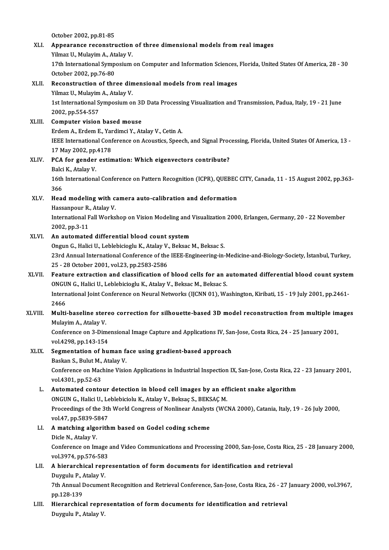October 2002,pp.81-85 October 2002, pp.81-85<br>XLI. Appearance reconstruction of three dimensional models from real images October 2002, pp.81-85<br>Appearance reconstruction<br>Yilmaz U., Mulayim A., Atalay V.<br>17th International Symnesium Appearance reconstruction of three dimensional models from real images<br>Yilmaz U., Mulayim A., Atalay V.<br>17th International Symposium on Computer and Information Sciences, Florida, United States Of America, 28 - 30<br>Ostaber Yilmaz U., Mulayim A., At<br>17th International Symper<br>October 2002, pp.76-80<br>Reconstruction of thr October 2002, pp.76-80<br>XLII. Reconstruction of three dimensional models from real images October 2002, pp.76-80<br>Reconstruction of three din<br>Yilmaz U., Mulayim A., Atalay V.<br>1st International Symposium of 1st International Symposium on 3D Data Processing Visualization and Transmission, Padua, Italy, 19 - 21 June<br>2002, pp.554-557 Yilmaz U., Mulayim<br>1st International S<br>2002, pp.554-557<br>Computer vision XLIII. Computer vision based mouse 2002, pp.554-557<br>Computer vision based mouse<br>Erdem A., Erdem E., Yardimci Y., Atalay V., Cetin A.<br>JEEE International Conference on Acquatics, Speed IEEE International Conference on Acoustics, Speech, and Signal Processing, Florida, United States Of America, 13 -<br>17 May 2002, pp.4178 Erdem A., Erdem E., Yar<br>IEEE International Conf<br>17 May 2002, pp.4178<br>PCA for gonder estin IEEE International Conference on Acoustics, Speech, and Signal Proc<br>17 May 2002, pp.4178<br>XLIV. PCA for gender estimation: Which eigenvectors contribute? 17 May 2002, pp.<br>PCA for gender<br>Balci K., Atalay V.<br>16th Internations PCA for gender estimation: Which eigenvectors contribute?<br>Balci K., Atalay V.<br>16th International Conference on Pattern Recognition (ICPR), QUEBEC CITY, Canada, 11 - 15 August 2002, pp.363-<br>266 Balci<br>16th<br>366 16th International Conference on Pattern Recognition (ICPR), QUEBEC<br>366<br>XLV. Head modeling with camera auto-calibration and deformation<br>Hessennour B Atalay V 366<br>He<mark>ad modeling with c</mark>:<br>Hassanpour R., Atalay V.<br>International Fell Works Head modeling with camera auto-calibration and deformation<br>Hassanpour R., Atalay V.<br>International Fall Workshop on Vision Modeling and Visualization 2000, Erlangen, Germany, 20 - 22 November<br>2002, nn 2,11 Hassanpour R.<br>International F<br>2002, pp.3-11<br>An autemates International Fall Workshop on Vision Modeling and<br>2002, pp.3-11<br>XLVI. An automated differential blood count system<br>2007 United M. Johlabisieshu K. Atalay V. Baksas 2002, pp.3-11<br>An automated differential blood count system<br>Ongun G., Halici U., Leblebicioglu K., Atalay V., Beksac M., Beksac S. An automated differential blood count system<br>Ongun G., Halici U., Leblebicioglu K., Atalay V., Beksac M., Beksac S.<br>23rd Annual International Conference of the IEEE-Engineering-in-Medicine-and-Biology-Society, İstanbul, Tu Ongun G., Halici U., Leblebicioglu K., Atalay V.<br>23rd Annual International Conference of the<br>25 - 28 October 2001, vol.23, pp.2583-2586<br>Foature extraction and classification of 23rd Annual International Conference of the IEEE-Engineering-in-Medicine-and-Biology-Society, İstanbul, Turkey,<br>25 - 28 October 2001, vol.23, pp.2583-2586<br>XLVII. Feature extraction and classification of blood cells for an 25 - 28 October 2001, vol.23, pp.2583-2586<br>Feature extraction and classification of blood cells for an a<br>ONGUN G., Halici U., Leblebicioglu K., Atalay V., Beksac M., Beksac S.<br>International Jeint Conference on Noural Netwo Feature extraction and classification of blood cells for an automated differential blood count syster<br>ONGUN G., Halici U., Leblebicioglu K., Atalay V., Beksac M., Beksac S.<br>International Joint Conference on Neural Networks ONGUN G., Halici U., Leblebicioglu K., Atalay V., Beksac M., Beksac S.<br>International Joint Conference on Neural Networks (IJCNN 01), Washington, Kiribati, 15 - 19 July 2001, pp.2461<br>2466 International Joint Conference on Neural Networks (IJCNN 01), Washington, Kiribati, 15 - 19 July 2001, pp.2461-<br>2466<br>XLVIII. Multi-baseline stereo correction for silhouette-based 3D model reconstruction from multiple image 2466<br>Multi-baseline ster<br>Mulayim A., Atalay V.<br>Conference on <sup>2</sup> Dim Multi-baseline stereo correction for silhouette-based 3D model reconstruction from multiple im<br>Mulayim A., Atalay V.<br>Conference on 3-Dimensional Image Capture and Applications IV, San-Jose, Costa Rica, 24 - 25 January 2001 Mulayim A., Atalay V.<br>Conference on 3-Dime<br>vol.4298, pp.143-154<br>Segmentation of bu Conference on 3-Dimensional Image Capture and Applications IV, Sar<br>vol.4298, pp.143-154<br>XLIX. Segmentation of human face using gradient-based approach<br>Backen S. Bulut M. Atalou V. vol.4298, pp.143-154<br>Segmentation of human f:<br>Baskan S., Bulut M., Atalay V.<br>Conference on Machine Visio Conference on Machine Vision Applications in Industrial Inspection IX, San-Jose, Costa Rica, 22 - 23 January 2001, vol. 4301, pp. 52-63 Baskan S., Bulut M., Atalay V. Conference on Machine Vision Applications in Industrial Inspection IX, San-Jose, Costa Rica, 22<br>vol.4301, pp.52-63<br>L. Automated contour detection in blood cell images by an efficient snake algorithm<br>ONCUN C. Holigi II, Joh vol.4301, pp.52-63<br>Automated contour detection in blood cell images by an eff<br>ONGUN G., Halici U., Leblebiciolu K., Atalay V., Beksaç S., BEKSAÇ M.<br>Preseedings of the 3th World Congress of Noplinear Anglysts (WG Proceedings of the 3th World Congress of Nonlinear Analysts (WCNA 2000), Catania, Italy, 19 - 26 July 2000, vol.47, pp.5839-5847 ONGUN G., Halici U., Leblebiciolu K., Atalay V., Beksaç S., BEKSAÇ M. Proceedings of the 3th World Congress of Nonlinear Analyst<br>vol.47, pp.5839-5847<br>LI. A matching algorithm based on Godel coding scheme<br>Niele N. Ataley V. vol.47, pp.5839-5<br>**A matching algo<br>Dicle N., Atalay V.**<br>Conference on Im A matching algorithm based on Godel coding scheme<br>Dicle N., Atalay V.<br>Conference on Image and Video Communications and Processing 2000, San-Jose, Costa Rica, 25 - 28 January 2000,<br>vol 2074, pp 576, 592 Dicle N., Atalay V.<br>Conference on Image<br>vol.3974, pp.576-583<br>A hiororabical ropre Conference on Image and Video Communications and Processing 2000, San-Jose, Costa Rica<br>vol.3974, pp.576-583<br>LII. A hierarchical representation of form documents for identification and retrieval<br>purruly B. Atalev V. vol.3974, pp.576-583<br>**A hierarchical rep**i<br>Duygulu P., Atalay V.<br><sup>7th Annual Degumen</sup> A hierarchical representation of form documents for identification and retrieval<br>Duygulu P., Atalay V.<br>7th Annual Document Recognition and Retrieval Conference, San-Jose, Costa Rica, 26 - 27 January 2000, vol.3967,<br>nn 129 Duygulu P., *I*<br>7th Annual I<br>pp.128-139<br>Hionarchics 7th Annual Document Recognition and Retrieval Conference, San-Jose, Costa Rica, 26 - 27<br>pp.128-139<br>LIII. Hierarchical representation of form documents for identification and retrieval<br>pwww.pp. Atalay V pp.128-139<br>Hi<mark>erarchical repre</mark><br>Duygulu P., Atalay V.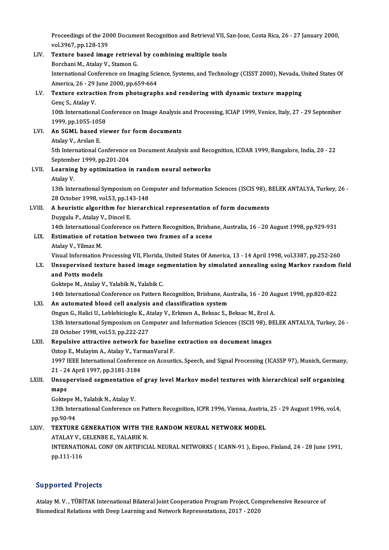Proceedings of the 2000 Document Recognition and Retrieval VII, San-Jose, Costa Rica, 26 - 27 January 2000,<br>vol 3967, pp.128, 139 Proceedings of the 20<br>vol.3967, pp.128-139<br>Toutune based imag Proceedings of the 2000 Document Recognition and Retrieval VII, S<br>vol.3967, pp.128-139<br>LIV. Texture based image retrieval by combining multiple tools<br>Perchani M. Atalev V. Stamen C.

vol.3967, pp.128-139<br>LIV. Texture based image retrieval by combining multiple tools<br>Borchani M., Atalay V., Stamon G. Texture based image retrieval by combining multiple tools<br>Borchani M., Atalay V., Stamon G.<br>International Conference on Imaging Science, Systems, and Technology (CISST 2000), Nevada, United States Of<br>America 26, 29 June 20 Borchani M., Atalay V., Stamon G.<br>International Conference on Imaging Scie<br>America, 26 - 29 June 2000, pp.659-664<br>Torture ortrastion from photograph International Conference on Imaging Science, Systems, and Technology (CISST 2000), Nevada, I<br>America, 26 - 29 June 2000, pp.659-664<br>LV. Texture extraction from photographs and rendering with dynamic texture mapping<br>Cons S. America, 26 - 29<br>Texture extract<br>Genç S., Atalay V.<br>10th Internations Texture extraction from photographs and rendering with dynamic texture mapping<br>Genç S., Atalay V.<br>10th International Conference on Image Analysis and Processing, ICIAP 1999, Venice, Italy, 27 - 29 September<br>1999, pp.1055-1 6enç S., Atalay V.<br>10th International Co<br>1999, pp.1055-1058<br>An SCML based vie

10th International Conference on Image Analysis<br>1999, pp.1055-1058<br>LVI. An SGML based viewer for form documents

1999, pp.1055-1058<br>LVI. An SGML based viewer for form documents<br>Atalay V., Arslan E. 5th International Conference on Document Analysis and Recognition, ICDAR 1999, Bangalore, India, 20 - 22 Atalay V., Arslan E.<br>5th International Conference<br>September 1999, pp.201-204<br>Leerning by optimination i

LVII. Learning by optimization in randomneural networks<br>Atalay V. Septembe<br>Learnin<sub>!</sub><br>Atalay V. Learning by optimization in random neural networks<br>Atalay V.<br>13th International Symposium on Computer and Information Sciences (ISCIS 98), BELEK ANTALYA, Turkey, 26 -<br>28 Ostaber 1998, vol.52, pp.142,148 Atalay V.<br>13th International Symposium on Cor<br>28 October 1998, vol.53, pp.143-148<br>A houristic algorithm for bionary

13th International Symposium on Computer and Information Sciences (ISCIS 98), E<br>28 October 1998, vol.53, pp.143-148<br>LVIII. A heuristic algorithm for hierarchical representation of form documents

## 28 October 1998, vol.53, pp.14<br>A heuristic algorithm for h<br>Duygulu P., Atalay V., Dincel E.<br>14th International Conference A heuristic algorithm for hierarchical representation of form documents<br>Duygulu P., Atalay V., Dincel E.<br>14th International Conference on Pattern Recognition, Brisbane, Australia, 16 - 20 August 1998, pp.929-931<br>Estimation

## Duygulu P., Atalay V., Dincel E.<br>14th International Conference on Pattern Recognition, Brisba<br>LIX. Estimation of rotation between two frames of a scene<br>Atalay V., Yilmaz M. 14th International<br>**Estimation of rot:**<br>Atalay V., Yilmaz M.<br>Visual Information

Estimation of rotation between two frames of a scene<br>Atalay V., Yilmaz M.<br>Visual Information Processing VII, Florida, United States Of America, 13 - 14 April 1998, vol.3387, pp.252-260<br>Unaunorwised texture based image segm

### Atalay V., Yilmaz M.<br>Visual Information Processing VII, Florida, United States Of America, 13 - 14 April 1998, vol.3387, pp.252-260<br>LX. Unsupervised texture based image segmentation by simulated annealing using Markov Visual Information I<br>Unsupervised text<br>and Potts models<br>Coltone M Ataley V Unsupervised texture based image se<br>and Potts models<br>Goktepe M., Atalay V., Yalabik N., Yalabik C.<br>14th International Conference on Pattern I and Potts models<br>Goktepe M., Atalay V., Yalabik N., Yalabik C.<br>14th International Conference on Pattern Recognition, Brisbane, Australia, 16 - 20 August 1998, pp.820-822

### LXI. An automated blood cell analysis and classification system

14th International Conference on Pattern Recognition, Brisbane, Australia, 16 - 20 Au<br>**An automated blood cell analysis and classification system**<br>Ongun G., Halici U., Leblebicioglu K., Atalay V., Erkmen A., Beksac S., Bek 13th International Symposium on Computer and Information Sciences (ISCIS 98), BELEK ANTALYA, Turkey, 26 - 28 October 1998, vol.53, pp.222-227 Ongun G., Halici U., Leblebicioglu K., A.<br>13th International Symposium on Cor<br>28 October 1998, vol.53, pp.222-227<br>Ropulsive attractive natwork for 13th International Symposium on Computer and Information Sciences (ISCIS 98), B<br>28 October 1998, vol.53, pp.222-227<br>LXII. Repulsive attractive network for baseline extraction on document images<br>20ton E. Mulayim A. Atalay V

28 October 1998, vol.53, pp.222-227<br>Repulsive attractive network for baseline<br>Oztop E., Mulayim A., Atalay V., YarmanVural F.<br>1997 IEEE International Conference on Acquat Repulsive attractive network for baseline extraction on document images<br>Oztop E., Mulayim A., Atalay V., YarmanVural F.<br>1997 IEEE International Conference on Acoustics, Speech, and Signal Processing (ICASSP 97), Munich, Ge Oztop E., Mulayim A., Atalay V., Yar<br>1997 IEEE International Conferenc<br>21 - 24 April 1997, pp.3181-3184<br>Unsunerwised segmentation of 1997 IEEE International Conference on Acoustics, Speech, and Signal Processing (ICASSP 97), Munich, Germany<br>21 - 24 April 1997, pp.3181-3184<br>LXIII. Unsupervised segmentation of gray level Markov model textures with hierarc

## 21 - 24 April 1997, pp.3181-3184<br>Unsupervised segmentation of<br>maps<br>Goktepe M., Yalabik N., Atalay V. Unsupervised segmentation<br>maps<br>Goktepe M., Yalabik N., Atalay V.<br>12th International Conference o

13th International Conference on Pattern Recognition, ICPR 1996, Vienna, Austria, 25 - 29 August 1996, vol.4, pp.90-94 13th International Conference on Pattern Recognition, ICPR 1996, Vienna, Austria<br>pp.90-94<br>LXIV. TEXTURE GENERATION WITH THE RANDOM NEURAL NETWORK MODEL

# pp.90-94<br><mark>TEXTURE GENERATION WITH TH</mark><br>ATALAY V., GELENBE E., YALABIK N.<br>INTERNATIONAL CONE ON ARTIEICI

ATALAY V., GELENBE E., YALABIK N.

INTERNATIONAL CONF ON ARTIFICIAL NEURAL NETWORKS (ICANN-91), Espoo, Finland, 24 - 28 June 1991,<br>pp.111-116

### Supported Projects

Atalay M. V., TÜBİTAK International Bilateral Joint Cooperation Program Project, Comprehensive Resource of Biomedical Relations with Deep Learning and Network Representations, 2017 - 2020